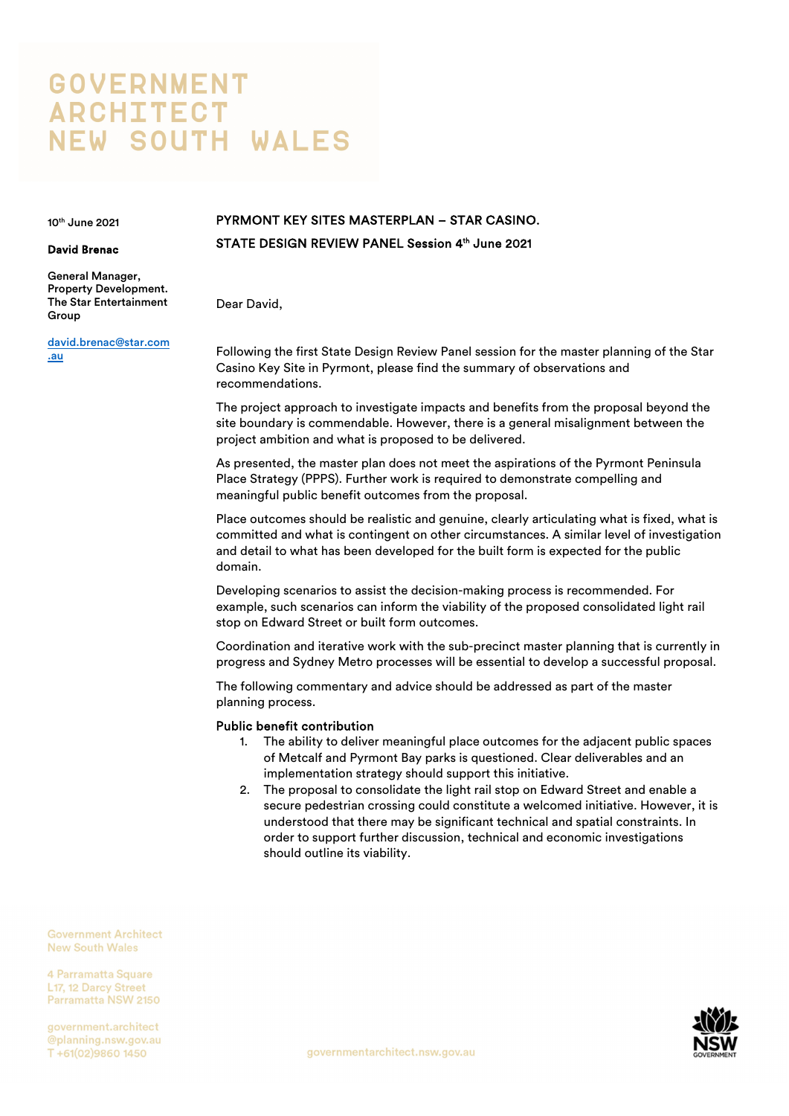# **GOVERNMENT ARCHITECT NEW SOUTH WALES**

10th June 2021

#### David Brenac

General Manager, Property Development. The Star Entertainment Group

david.brenac@star.com .au

## PYRMONT KEY SITES MASTERPLAN – STAR CASINO. STATE DESIGN REVIEW PANEL Session 4th June 2021

Dear David,

Following the first State Design Review Panel session for the master planning of the Star Casino Key Site in Pyrmont, please find the summary of observations and recommendations.

The project approach to investigate impacts and benefits from the proposal beyond the site boundary is commendable. However, there is a general misalignment between the project ambition and what is proposed to be delivered.

As presented, the master plan does not meet the aspirations of the Pyrmont Peninsula Place Strategy (PPPS). Further work is required to demonstrate compelling and meaningful public benefit outcomes from the proposal.

Place outcomes should be realistic and genuine, clearly articulating what is fixed, what is committed and what is contingent on other circumstances. A similar level of investigation and detail to what has been developed for the built form is expected for the public domain.

Developing scenarios to assist the decision-making process is recommended. For example, such scenarios can inform the viability of the proposed consolidated light rail stop on Edward Street or built form outcomes.

Coordination and iterative work with the sub-precinct master planning that is currently in progress and Sydney Metro processes will be essential to develop a successful proposal.

The following commentary and advice should be addressed as part of the master planning process.

#### Public benefit contribution

- 1. The ability to deliver meaningful place outcomes for the adjacent public spaces of Metcalf and Pyrmont Bay parks is questioned. Clear deliverables and an implementation strategy should support this initiative.
- 2. The proposal to consolidate the light rail stop on Edward Street and enable a secure pedestrian crossing could constitute a welcomed initiative. However, it is understood that there may be significant technical and spatial constraints. In order to support further discussion, technical and economic investigations should outline its viability.

**Government Architect New South Wales** 

4 Parramatta Square 117 12 Darcy Street Parramatta NSW 2150

government.architect @planning.nsw.gov.au T+61(02)9860 1450

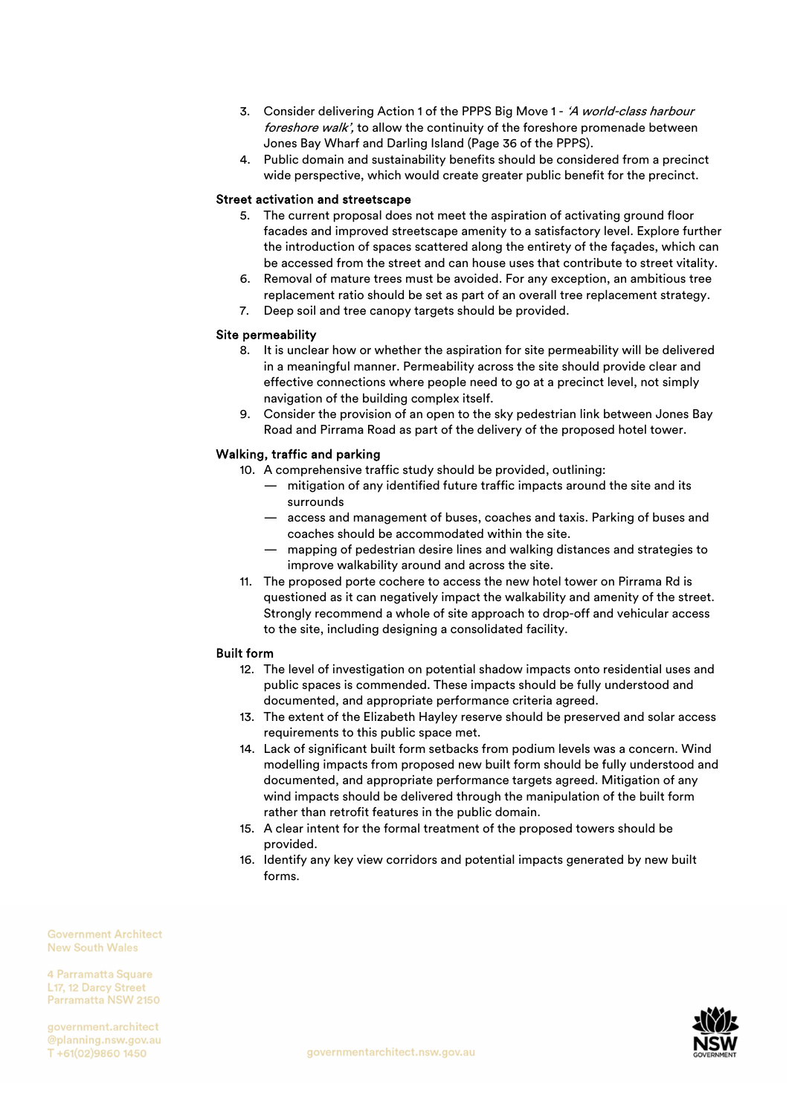- 3. Consider delivering Action 1 of the PPPS Big Move 1 'A world-class harbour foreshore walk', to allow the continuity of the foreshore promenade between Jones Bay Wharf and Darling Island (Page 36 of the PPPS).
- 4. Public domain and sustainability benefits should be considered from a precinct wide perspective, which would create greater public benefit for the precinct.

#### Street activation and streetscape

- 5. The current proposal does not meet the aspiration of activating ground floor facades and improved streetscape amenity to a satisfactory level. Explore further the introduction of spaces scattered along the entirety of the façades, which can be accessed from the street and can house uses that contribute to street vitality.
- 6. Removal of mature trees must be avoided. For any exception, an ambitious tree replacement ratio should be set as part of an overall tree replacement strategy.
- 7. Deep soil and tree canopy targets should be provided.

#### Site permeability

- 8. It is unclear how or whether the aspiration for site permeability will be delivered in a meaningful manner. Permeability across the site should provide clear and effective connections where people need to go at a precinct level, not simply navigation of the building complex itself.
- 9. Consider the provision of an open to the sky pedestrian link between Jones Bay Road and Pirrama Road as part of the delivery of the proposed hotel tower.

#### Walking, traffic and parking

- 10. A comprehensive traffic study should be provided, outlining:
	- mitigation of any identified future traffic impacts around the site and its surrounds
	- access and management of buses, coaches and taxis. Parking of buses and coaches should be accommodated within the site.
	- mapping of pedestrian desire lines and walking distances and strategies to improve walkability around and across the site.
- 11. The proposed porte cochere to access the new hotel tower on Pirrama Rd is questioned as it can negatively impact the walkability and amenity of the street. Strongly recommend a whole of site approach to drop-off and vehicular access to the site, including designing a consolidated facility.

#### Built form

- 12. The level of investigation on potential shadow impacts onto residential uses and public spaces is commended. These impacts should be fully understood and documented, and appropriate performance criteria agreed.
- 13. The extent of the Elizabeth Hayley reserve should be preserved and solar access requirements to this public space met.
- 14. Lack of significant built form setbacks from podium levels was a concern. Wind modelling impacts from proposed new built form should be fully understood and documented, and appropriate performance targets agreed. Mitigation of any wind impacts should be delivered through the manipulation of the built form rather than retrofit features in the public domain.
- 15. A clear intent for the formal treatment of the proposed towers should be provided.
- 16. Identify any key view corridors and potential impacts generated by new built forms.

**Government Architect New South Wales** 

4 Parramatta Square 117 12 Darcy Street Parramatta NSW 2150

government.architect @planning.nsw.gov.au T+61(02)9860 1450